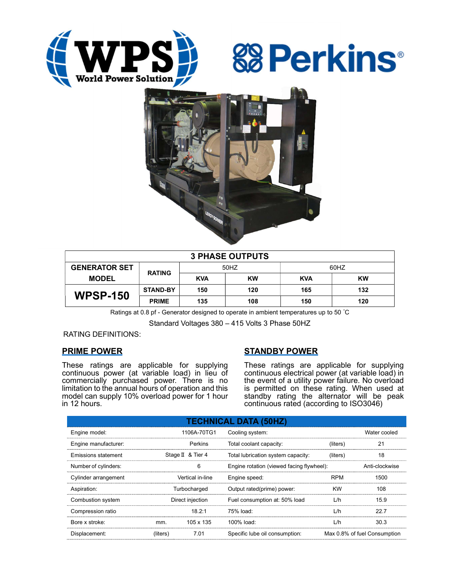





| <b>3 PHASE OUTPUTS</b> |                 |            |           |            |           |  |  |  |
|------------------------|-----------------|------------|-----------|------------|-----------|--|--|--|
| <b>GENERATOR SET</b>   | <b>RATING</b>   | 50HZ       |           | 60HZ       |           |  |  |  |
| <b>MODEL</b>           |                 | <b>KVA</b> | <b>KW</b> | <b>KVA</b> | <b>KW</b> |  |  |  |
| <b>WPSP-150</b>        | <b>STAND-BY</b> | 150        | 120       | 165        | 132       |  |  |  |
|                        | <b>PRIME</b>    | 135        | 108       | 150        | 120       |  |  |  |

Ratings at 0.8 pf - Generator designed to operate in ambient temperatures up to 50 °C

Standard Voltages 380 – 415 Volts 3 Phase 50HZ

RATING DEFINITIONS:

## PRIME POWER

These ratings are applicable for supplying continuous power (at variable load) in lieu of commercially purchased power. There is no limitation to the annual hours of operation and this model can supply 10% overload power for 1 hour in 12 hours.

## STANDBY POWER

These ratings are applicable for supplying continuous electrical power (at variable load) in the event of a utility power failure. No overload is permitted on these rating. When used at standby rating the alternator will be peak continuous rated (according to ISO3046)

| <b>TECHNICAL DATA (50HZ)</b> |                  |                   |                                           |                |                              |  |  |  |  |
|------------------------------|------------------|-------------------|-------------------------------------------|----------------|------------------------------|--|--|--|--|
| Engine model:                |                  | 1106A-70TG1       | Cooling system:                           |                | Water cooled                 |  |  |  |  |
| Engine manufacturer:         |                  | Perkins           | Total coolant capacity:                   | (liters)       | 21                           |  |  |  |  |
| Emissions statement          |                  | Stage II & Tier 4 | Total lubrication system capacity:        | (liters)       | 18                           |  |  |  |  |
| Number of cylinders:         |                  | 6                 | Engine rotation (viewed facing flywheel): | Anti-clockwise |                              |  |  |  |  |
| Cylinder arrangement         | Vertical in-line |                   | Engine speed:                             | <b>RPM</b>     | 1500                         |  |  |  |  |
| Aspiration:                  | Turbocharged     |                   | Output rated(prime) power:                | <b>KW</b>      | 108                          |  |  |  |  |
| Combustion system            | Direct injection |                   | Fuel consumption at: 50% load             | L/h            | 15.9                         |  |  |  |  |
| Compression ratio            |                  | 18.2:1            | $75%$ load:                               | L/h            | 22.7                         |  |  |  |  |
| Bore x stroke:               | mm.              | 105 x 135         | 100% load:                                | L/h            | 30.3                         |  |  |  |  |
| Displacement:                | (liters)         | 7.01              | Specific lube oil consumption:            |                | Max 0.8% of fuel Consumption |  |  |  |  |